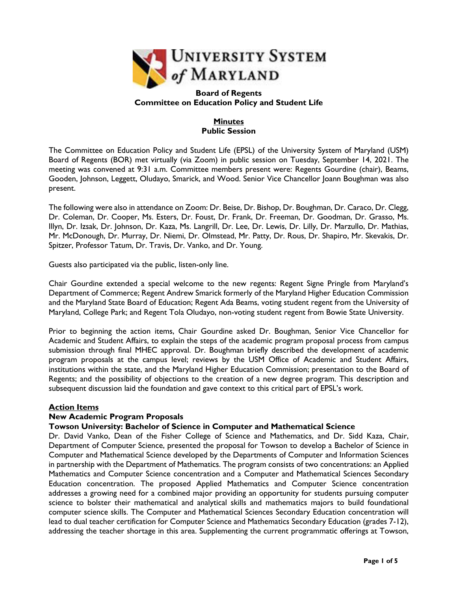

#### **Board of Regents Committee on Education Policy and Student Life**

# **Minutes Public Session**

The Committee on Education Policy and Student Life (EPSL) of the University System of Maryland (USM) Board of Regents (BOR) met virtually (via Zoom) in public session on Tuesday, September 14, 2021. The meeting was convened at 9:31 a.m. Committee members present were: Regents Gourdine (chair), Beams, Gooden, Johnson, Leggett, Oludayo, Smarick, and Wood. Senior Vice Chancellor Joann Boughman was also present.

The following were also in attendance on Zoom: Dr. Beise, Dr. Bishop, Dr. Boughman, Dr. Caraco, Dr. Clegg, Dr. Coleman, Dr. Cooper, Ms. Esters, Dr. Foust, Dr. Frank, Dr. Freeman, Dr. Goodman, Dr. Grasso, Ms. Illyn, Dr. Izsak, Dr. Johnson, Dr. Kaza, Ms. Langrill, Dr. Lee, Dr. Lewis, Dr. Lilly, Dr. Marzullo, Dr. Mathias, Mr. McDonough, Dr. Murray, Dr. Niemi, Dr. Olmstead, Mr. Patty, Dr. Rous, Dr. Shapiro, Mr. Skevakis, Dr. Spitzer, Professor Tatum, Dr. Travis, Dr. Vanko, and Dr. Young.

Guests also participated via the public, listen-only line.

Chair Gourdine extended a special welcome to the new regents: Regent Signe Pringle from Maryland's Department of Commerce; Regent Andrew Smarick formerly of the Maryland Higher Education Commission and the Maryland State Board of Education; Regent Ada Beams, voting student regent from the University of Maryland, College Park; and Regent Tola Oludayo, non-voting student regent from Bowie State University.

Prior to beginning the action items, Chair Gourdine asked Dr. Boughman, Senior Vice Chancellor for Academic and Student Affairs, to explain the steps of the academic program proposal process from campus submission through final MHEC approval. Dr. Boughman briefly described the development of academic program proposals at the campus level; reviews by the USM Office of Academic and Student Affairs, institutions within the state, and the Maryland Higher Education Commission; presentation to the Board of Regents; and the possibility of objections to the creation of a new degree program. This description and subsequent discussion laid the foundation and gave context to this critical part of EPSL's work.

## **Action Items**

## **New Academic Program Proposals**

## **Towson University: Bachelor of Science in Computer and Mathematical Science**

Dr. David Vanko, Dean of the Fisher College of Science and Mathematics, and Dr. Sidd Kaza, Chair, Department of Computer Science, presented the proposal for Towson to develop a Bachelor of Science in Computer and Mathematical Science developed by the Departments of Computer and Information Sciences in partnership with the Department of Mathematics. The program consists of two concentrations: an Applied Mathematics and Computer Science concentration and a Computer and Mathematical Sciences Secondary Education concentration. The proposed Applied Mathematics and Computer Science concentration addresses a growing need for a combined major providing an opportunity for students pursuing computer science to bolster their mathematical and analytical skills and mathematics majors to build foundational computer science skills. The Computer and Mathematical Sciences Secondary Education concentration will lead to dual teacher certification for Computer Science and Mathematics Secondary Education (grades 7-12), addressing the teacher shortage in this area. Supplementing the current programmatic offerings at Towson,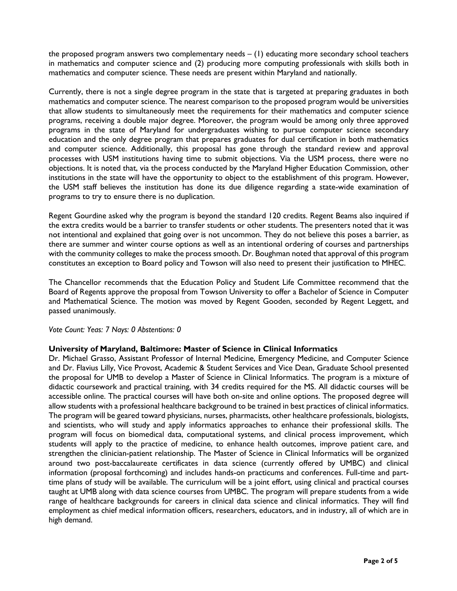the proposed program answers two complementary needs  $- (1)$  educating more secondary school teachers in mathematics and computer science and (2) producing more computing professionals with skills both in mathematics and computer science. These needs are present within Maryland and nationally.

Currently, there is not a single degree program in the state that is targeted at preparing graduates in both mathematics and computer science. The nearest comparison to the proposed program would be universities that allow students to simultaneously meet the requirements for their mathematics and computer science programs, receiving a double major degree. Moreover, the program would be among only three approved programs in the state of Maryland for undergraduates wishing to pursue computer science secondary education and the only degree program that prepares graduates for dual certification in both mathematics and computer science. Additionally, this proposal has gone through the standard review and approval processes with USM institutions having time to submit objections. Via the USM process, there were no objections. It is noted that, via the process conducted by the Maryland Higher Education Commission, other institutions in the state will have the opportunity to object to the establishment of this program. However, the USM staff believes the institution has done its due diligence regarding a state-wide examination of programs to try to ensure there is no duplication.

Regent Gourdine asked why the program is beyond the standard 120 credits. Regent Beams also inquired if the extra credits would be a barrier to transfer students or other students. The presenters noted that it was not intentional and explained that going over is not uncommon. They do not believe this poses a barrier, as there are summer and winter course options as well as an intentional ordering of courses and partnerships with the community colleges to make the process smooth. Dr. Boughman noted that approval of this program constitutes an exception to Board policy and Towson will also need to present their justification to MHEC.

The Chancellor recommends that the Education Policy and Student Life Committee recommend that the Board of Regents approve the proposal from Towson University to offer a Bachelor of Science in Computer and Mathematical Science. The motion was moved by Regent Gooden, seconded by Regent Leggett, and passed unanimously.

## *Vote Count: Yeas: 7 Nays: 0 Abstentions: 0*

## **University of Maryland, Baltimore: Master of Science in Clinical Informatics**

Dr. Michael Grasso, Assistant Professor of Internal Medicine, Emergency Medicine, and Computer Science and Dr. Flavius Lilly, Vice Provost, Academic & Student Services and Vice Dean, Graduate School presented the proposal for UMB to develop a Master of Science in Clinical Informatics. The program is a mixture of didactic coursework and practical training, with 34 credits required for the MS. All didactic courses will be accessible online. The practical courses will have both on-site and online options. The proposed degree will allow students with a professional healthcare background to be trained in best practices of clinical informatics. The program will be geared toward physicians, nurses, pharmacists, other healthcare professionals, biologists, and scientists, who will study and apply informatics approaches to enhance their professional skills. The program will focus on biomedical data, computational systems, and clinical process improvement, which students will apply to the practice of medicine, to enhance health outcomes, improve patient care, and strengthen the clinician-patient relationship. The Master of Science in Clinical Informatics will be organized around two post-baccalaureate certificates in data science (currently offered by UMBC) and clinical information (proposal forthcoming) and includes hands-on practicums and conferences. Full-time and parttime plans of study will be available. The curriculum will be a joint effort, using clinical and practical courses taught at UMB along with data science courses from UMBC. The program will prepare students from a wide range of healthcare backgrounds for careers in clinical data science and clinical informatics. They will find employment as chief medical information officers, researchers, educators, and in industry, all of which are in high demand.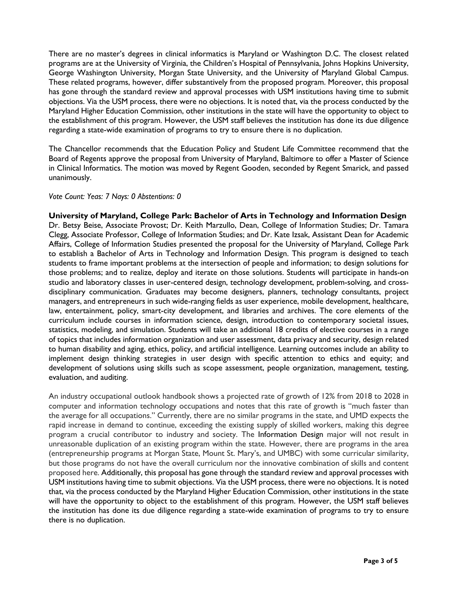There are no master's degrees in clinical informatics is Maryland or Washington D.C. The closest related programs are at the University of Virginia, the Children's Hospital of Pennsylvania, Johns Hopkins University, George Washington University, Morgan State University, and the University of Maryland Global Campus. These related programs, however, differ substantively from the proposed program. Moreover, this proposal has gone through the standard review and approval processes with USM institutions having time to submit objections. Via the USM process, there were no objections. It is noted that, via the process conducted by the Maryland Higher Education Commission, other institutions in the state will have the opportunity to object to the establishment of this program. However, the USM staff believes the institution has done its due diligence regarding a state-wide examination of programs to try to ensure there is no duplication.

The Chancellor recommends that the Education Policy and Student Life Committee recommend that the Board of Regents approve the proposal from University of Maryland, Baltimore to offer a Master of Science in Clinical Informatics. The motion was moved by Regent Gooden, seconded by Regent Smarick, and passed unanimously.

#### *Vote Count: Yeas: 7 Nays: 0 Abstentions: 0*

**University of Maryland, College Park: Bachelor of Arts in Technology and Information Design** Dr. Betsy Beise, Associate Provost; Dr. Keith Marzullo, Dean, College of Information Studies; Dr. Tamara Clegg, Associate Professor, College of Information Studies; and Dr. Kate Izsak, Assistant Dean for Academic Affairs, College of Information Studies presented the proposal for the University of Maryland, College Park to establish a Bachelor of Arts in Technology and Information Design. This program is designed to teach students to frame important problems at the intersection of people and information; to design solutions for those problems; and to realize, deploy and iterate on those solutions. Students will participate in hands-on studio and laboratory classes in user-centered design, technology development, problem-solving, and crossdisciplinary communication. Graduates may become designers, planners, technology consultants, project managers, and entrepreneurs in such wide-ranging fields as user experience, mobile development, healthcare, law, entertainment, policy, smart-city development, and libraries and archives. The core elements of the curriculum include courses in information science, design, introduction to contemporary societal issues, statistics, modeling, and simulation. Students will take an additional 18 credits of elective courses in a range of topics that includes information organization and user assessment, data privacy and security, design related to human disability and aging, ethics, policy, and artificial intelligence. Learning outcomes include an ability to implement design thinking strategies in user design with specific attention to ethics and equity; and development of solutions using skills such as scope assessment, people organization, management, testing, evaluation, and auditing.

An industry occupational outlook handbook shows a projected rate of growth of 12% from 2018 to 2028 in computer and information technology occupations and notes that this rate of growth is "much faster than the average for all occupations." Currently, there are no similar programs in the state, and UMD expects the rapid increase in demand to continue, exceeding the existing supply of skilled workers, making this degree program a crucial contributor to industry and society. The Information Design major will not result in unreasonable duplication of an existing program within the state. However, there are programs in the area (entrepreneurship programs at Morgan State, Mount St. Mary's, and UMBC) with some curricular similarity, but those programs do not have the overall curriculum nor the innovative combination of skills and content proposed here. Additionally, this proposal has gone through the standard review and approval processes with USM institutions having time to submit objections. Via the USM process, there were no objections. It is noted that, via the process conducted by the Maryland Higher Education Commission, other institutions in the state will have the opportunity to object to the establishment of this program. However, the USM staff believes the institution has done its due diligence regarding a state-wide examination of programs to try to ensure there is no duplication.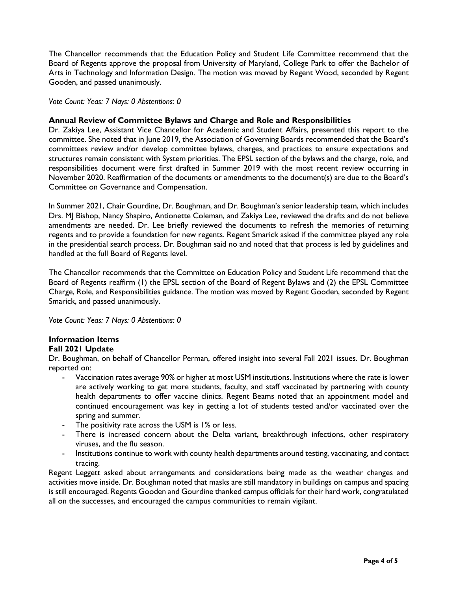The Chancellor recommends that the Education Policy and Student Life Committee recommend that the Board of Regents approve the proposal from University of Maryland, College Park to offer the Bachelor of Arts in Technology and Information Design. The motion was moved by Regent Wood, seconded by Regent Gooden, and passed unanimously.

*Vote Count: Yeas: 7 Nays: 0 Abstentions: 0* 

## **Annual Review of Committee Bylaws and Charge and Role and Responsibilities**

Dr. Zakiya Lee, Assistant Vice Chancellor for Academic and Student Affairs, presented this report to the committee. She noted that in June 2019, the Association of Governing Boards recommended that the Board's committees review and/or develop committee bylaws, charges, and practices to ensure expectations and structures remain consistent with System priorities. The EPSL section of the bylaws and the charge, role, and responsibilities document were first drafted in Summer 2019 with the most recent review occurring in November 2020. Reaffirmation of the documents or amendments to the document(s) are due to the Board's Committee on Governance and Compensation.

In Summer 2021, Chair Gourdine, Dr. Boughman, and Dr. Boughman's senior leadership team, which includes Drs. MJ Bishop, Nancy Shapiro, Antionette Coleman, and Zakiya Lee, reviewed the drafts and do not believe amendments are needed. Dr. Lee briefly reviewed the documents to refresh the memories of returning regents and to provide a foundation for new regents. Regent Smarick asked if the committee played any role in the presidential search process. Dr. Boughman said no and noted that that process is led by guidelines and handled at the full Board of Regents level.

The Chancellor recommends that the Committee on Education Policy and Student Life recommend that the Board of Regents reaffirm (1) the EPSL section of the Board of Regent Bylaws and (2) the EPSL Committee Charge, Role, and Responsibilities guidance. The motion was moved by Regent Gooden, seconded by Regent Smarick, and passed unanimously.

*Vote Count: Yeas: 7 Nays: 0 Abstentions: 0* 

# **Information Items**

## **Fall 2021 Update**

Dr. Boughman, on behalf of Chancellor Perman, offered insight into several Fall 2021 issues. Dr. Boughman reported on:

- Vaccination rates average 90% or higher at most USM institutions. Institutions where the rate is lower are actively working to get more students, faculty, and staff vaccinated by partnering with county health departments to offer vaccine clinics. Regent Beams noted that an appointment model and continued encouragement was key in getting a lot of students tested and/or vaccinated over the spring and summer.
- The positivity rate across the USM is 1% or less.
- There is increased concern about the Delta variant, breakthrough infections, other respiratory viruses, and the flu season.
- Institutions continue to work with county health departments around testing, vaccinating, and contact tracing.

Regent Leggett asked about arrangements and considerations being made as the weather changes and activities move inside. Dr. Boughman noted that masks are still mandatory in buildings on campus and spacing is still encouraged. Regents Gooden and Gourdine thanked campus officials for their hard work, congratulated all on the successes, and encouraged the campus communities to remain vigilant.